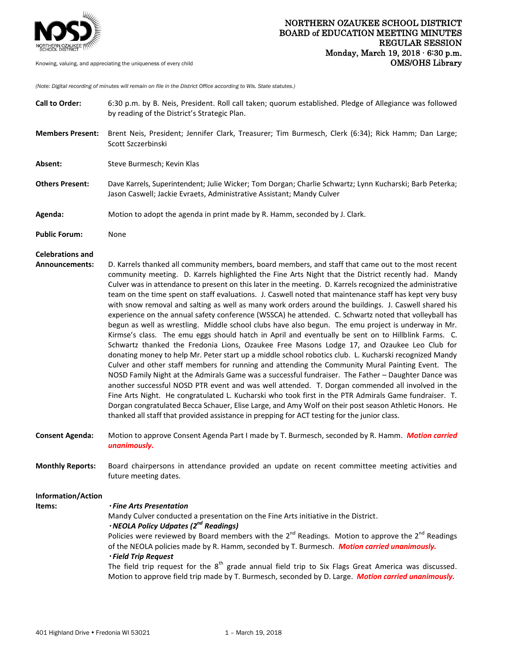

*(Note: Digital recording of minutes will remain on file in the District Office according to Wis. State statutes.)*

| <b>Call to Order:</b>   | 6:30 p.m. by B. Neis, President. Roll call taken; quorum established. Pledge of Allegiance was followed<br>by reading of the District's Strategic Plan.                                                                                                                                                                                                                                                                                                                                                                                                                                                                                                                                                                                                                                                                                                                                                                                                                                                                                                                                                                                                                                                                                                                                                                                                                                                                                                                                                                                                                                                                                                                                                        |
|-------------------------|----------------------------------------------------------------------------------------------------------------------------------------------------------------------------------------------------------------------------------------------------------------------------------------------------------------------------------------------------------------------------------------------------------------------------------------------------------------------------------------------------------------------------------------------------------------------------------------------------------------------------------------------------------------------------------------------------------------------------------------------------------------------------------------------------------------------------------------------------------------------------------------------------------------------------------------------------------------------------------------------------------------------------------------------------------------------------------------------------------------------------------------------------------------------------------------------------------------------------------------------------------------------------------------------------------------------------------------------------------------------------------------------------------------------------------------------------------------------------------------------------------------------------------------------------------------------------------------------------------------------------------------------------------------------------------------------------------------|
| <b>Members Present:</b> | Brent Neis, President; Jennifer Clark, Treasurer; Tim Burmesch, Clerk (6:34); Rick Hamm; Dan Large;<br>Scott Szczerbinski                                                                                                                                                                                                                                                                                                                                                                                                                                                                                                                                                                                                                                                                                                                                                                                                                                                                                                                                                                                                                                                                                                                                                                                                                                                                                                                                                                                                                                                                                                                                                                                      |
| Absent:                 | Steve Burmesch; Kevin Klas                                                                                                                                                                                                                                                                                                                                                                                                                                                                                                                                                                                                                                                                                                                                                                                                                                                                                                                                                                                                                                                                                                                                                                                                                                                                                                                                                                                                                                                                                                                                                                                                                                                                                     |
| <b>Others Present:</b>  | Dave Karrels, Superintendent; Julie Wicker; Tom Dorgan; Charlie Schwartz; Lynn Kucharski; Barb Peterka;<br>Jason Caswell; Jackie Evraets, Administrative Assistant; Mandy Culver                                                                                                                                                                                                                                                                                                                                                                                                                                                                                                                                                                                                                                                                                                                                                                                                                                                                                                                                                                                                                                                                                                                                                                                                                                                                                                                                                                                                                                                                                                                               |
| Agenda:                 | Motion to adopt the agenda in print made by R. Hamm, seconded by J. Clark.                                                                                                                                                                                                                                                                                                                                                                                                                                                                                                                                                                                                                                                                                                                                                                                                                                                                                                                                                                                                                                                                                                                                                                                                                                                                                                                                                                                                                                                                                                                                                                                                                                     |
| <b>Public Forum:</b>    | None                                                                                                                                                                                                                                                                                                                                                                                                                                                                                                                                                                                                                                                                                                                                                                                                                                                                                                                                                                                                                                                                                                                                                                                                                                                                                                                                                                                                                                                                                                                                                                                                                                                                                                           |
| <b>Celebrations and</b> |                                                                                                                                                                                                                                                                                                                                                                                                                                                                                                                                                                                                                                                                                                                                                                                                                                                                                                                                                                                                                                                                                                                                                                                                                                                                                                                                                                                                                                                                                                                                                                                                                                                                                                                |
| <b>Announcements:</b>   | D. Karrels thanked all community members, board members, and staff that came out to the most recent<br>community meeting. D. Karrels highlighted the Fine Arts Night that the District recently had. Mandy<br>Culver was in attendance to present on this later in the meeting. D. Karrels recognized the administrative<br>team on the time spent on staff evaluations. J. Caswell noted that maintenance staff has kept very busy<br>with snow removal and salting as well as many work orders around the buildings. J. Caswell shared his<br>experience on the annual safety conference (WSSCA) he attended. C. Schwartz noted that volleyball has<br>begun as well as wrestling. Middle school clubs have also begun. The emu project is underway in Mr.<br>Kirmse's class. The emu eggs should hatch in April and eventually be sent on to Hillblink Farms. C.<br>Schwartz thanked the Fredonia Lions, Ozaukee Free Masons Lodge 17, and Ozaukee Leo Club for<br>donating money to help Mr. Peter start up a middle school robotics club. L. Kucharski recognized Mandy<br>Culver and other staff members for running and attending the Community Mural Painting Event. The<br>NOSD Family Night at the Admirals Game was a successful fundraiser. The Father - Daughter Dance was<br>another successful NOSD PTR event and was well attended. T. Dorgan commended all involved in the<br>Fine Arts Night. He congratulated L. Kucharski who took first in the PTR Admirals Game fundraiser. T.<br>Dorgan congratulated Becca Schauer, Elise Large, and Amy Wolf on their post season Athletic Honors. He<br>thanked all staff that provided assistance in prepping for ACT testing for the junior class. |
| <b>Consent Agenda:</b>  | Motion to approve Consent Agenda Part I made by T. Burmesch, seconded by R. Hamm. Motion carried<br>unanimously.                                                                                                                                                                                                                                                                                                                                                                                                                                                                                                                                                                                                                                                                                                                                                                                                                                                                                                                                                                                                                                                                                                                                                                                                                                                                                                                                                                                                                                                                                                                                                                                               |
| <b>Monthly Reports:</b> | Board chairpersons in attendance provided an update on recent committee meeting activities and<br>future meeting dates.                                                                                                                                                                                                                                                                                                                                                                                                                                                                                                                                                                                                                                                                                                                                                                                                                                                                                                                                                                                                                                                                                                                                                                                                                                                                                                                                                                                                                                                                                                                                                                                        |
| Information/Action      |                                                                                                                                                                                                                                                                                                                                                                                                                                                                                                                                                                                                                                                                                                                                                                                                                                                                                                                                                                                                                                                                                                                                                                                                                                                                                                                                                                                                                                                                                                                                                                                                                                                                                                                |
| Items:                  | <b>· Fine Arts Presentation</b>                                                                                                                                                                                                                                                                                                                                                                                                                                                                                                                                                                                                                                                                                                                                                                                                                                                                                                                                                                                                                                                                                                                                                                                                                                                                                                                                                                                                                                                                                                                                                                                                                                                                                |
|                         | Mandy Culver conducted a presentation on the Fine Arts initiative in the District.                                                                                                                                                                                                                                                                                                                                                                                                                                                                                                                                                                                                                                                                                                                                                                                                                                                                                                                                                                                                                                                                                                                                                                                                                                                                                                                                                                                                                                                                                                                                                                                                                             |
|                         | · NEOLA Policy Udpates (2 <sup>nd</sup> Readings)                                                                                                                                                                                                                                                                                                                                                                                                                                                                                                                                                                                                                                                                                                                                                                                                                                                                                                                                                                                                                                                                                                                                                                                                                                                                                                                                                                                                                                                                                                                                                                                                                                                              |
|                         | Policies were reviewed by Board members with the $2^{nd}$ Readings. Motion to approve the $2^{nd}$ Readings<br>of the NEOLA policies made by R. Hamm, seconded by T. Burmesch. Motion carried unanimously.<br>· Field Trip Request                                                                                                                                                                                                                                                                                                                                                                                                                                                                                                                                                                                                                                                                                                                                                                                                                                                                                                                                                                                                                                                                                                                                                                                                                                                                                                                                                                                                                                                                             |
|                         | The field trip request for the 8 <sup>th</sup> grade annual field trip to Six Flags Great America was discussed.<br>Motion to approve field trip made by T. Burmesch, seconded by D. Large. Motion carried unanimously.                                                                                                                                                                                                                                                                                                                                                                                                                                                                                                                                                                                                                                                                                                                                                                                                                                                                                                                                                                                                                                                                                                                                                                                                                                                                                                                                                                                                                                                                                        |